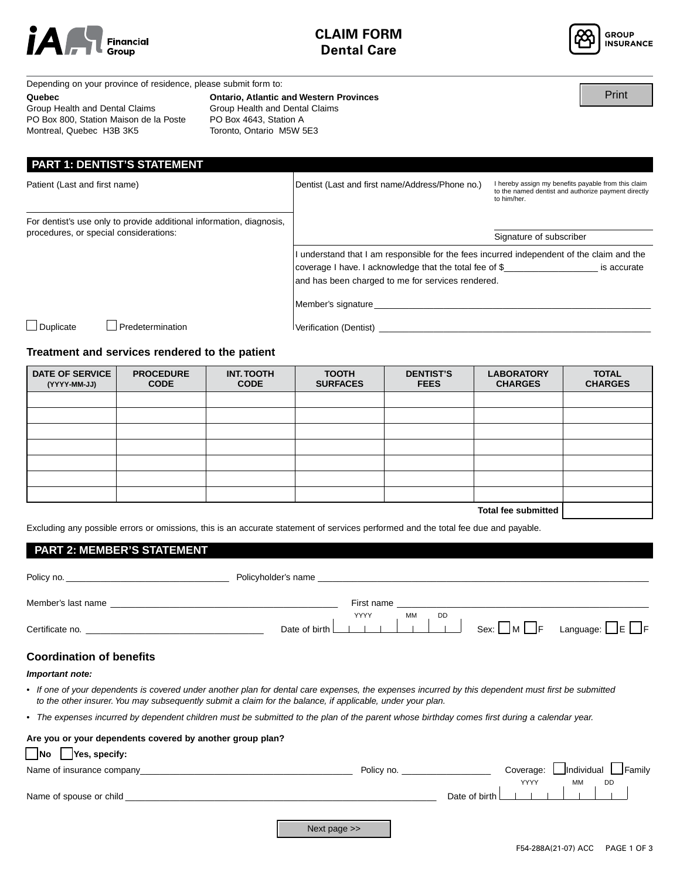



Print

Depending on your province of residence, please submit form to:

#### **Quebec**

Group Health and Dental Claims PO Box 800, Station Maison de la Poste Montreal, Quebec H3B 3K5

# **Ontario, Atlantic and Western Provinces**

Group Health and Dental Claims PO Box 4643, Station A Toronto, Ontario M5W 5E3

| <b>MONUTERL</b> , QUEDEC <b>HOD</b> SNO                                                                        | TOROTILO, OTHERIO MOVY DES                      |                                                                                                                           |
|----------------------------------------------------------------------------------------------------------------|-------------------------------------------------|---------------------------------------------------------------------------------------------------------------------------|
| <b>PART 1: DENTIST'S STATEMENT</b>                                                                             |                                                 |                                                                                                                           |
| Patient (Last and first name)                                                                                  | Dentist (Last and first name/Address/Phone no.) | I hereby assign my benefits payable from this claim<br>to the named dentist and authorize payment directly<br>to him/her. |
| For dentist's use only to provide additional information, diagnosis,<br>procedures, or special considerations: |                                                 | Signature of subscriber                                                                                                   |

I understand that I am responsible for the fees incurred independent of the claim and the coverage I have. I acknowledge that the total fee of \$\_\_\_\_\_\_\_\_\_\_\_\_\_\_\_\_\_\_\_ is accurate and has been charged to me for services rendered.

Duplicate Predetermination

Verification (Dentist) \_

Member's signature\_

## **Treatment and services rendered to the patient**

| DATE OF SERVICE<br>(YYYY-MM-JJ) | <b>PROCEDURE</b><br><b>CODE</b> | <b>INT. TOOTH</b><br><b>CODE</b> | <b>TOOTH</b><br><b>SURFACES</b> | <b>DENTIST'S</b><br><b>FEES</b> | <b>LABORATORY</b><br><b>CHARGES</b> | <b>TOTAL</b><br><b>CHARGES</b> |
|---------------------------------|---------------------------------|----------------------------------|---------------------------------|---------------------------------|-------------------------------------|--------------------------------|
|                                 |                                 |                                  |                                 |                                 |                                     |                                |
|                                 |                                 |                                  |                                 |                                 |                                     |                                |
|                                 |                                 |                                  |                                 |                                 |                                     |                                |
|                                 |                                 |                                  |                                 |                                 |                                     |                                |
|                                 |                                 |                                  |                                 |                                 |                                     |                                |
|                                 |                                 |                                  |                                 |                                 |                                     |                                |
|                                 |                                 |                                  |                                 |                                 |                                     |                                |
|                                 |                                 |                                  |                                 |                                 | <b>Total fee submitted</b>          |                                |

Excluding any possible errors or omissions, this is an accurate statement of services performed and the total fee due and payable.

#### **PART 2: MEMBER'S STATEMENT**

| Policy no.                                                                                                                                                                                                                                                        |                             |                                                         |
|-------------------------------------------------------------------------------------------------------------------------------------------------------------------------------------------------------------------------------------------------------------------|-----------------------------|---------------------------------------------------------|
|                                                                                                                                                                                                                                                                   | First name                  |                                                         |
|                                                                                                                                                                                                                                                                   | YYYY<br>MM<br>Date of birth | <b>DD</b><br>Language: $\Box$ E $\Box$ F<br>Sex: I      |
| <b>Coordination of benefits</b>                                                                                                                                                                                                                                   |                             |                                                         |
| Important note:                                                                                                                                                                                                                                                   |                             |                                                         |
| • If one of your dependents is covered under another plan for dental care expenses, the expenses incurred by this dependent must first be submitted<br>to the other insurer. You may subsequently submit a claim for the balance, if applicable, under your plan. |                             |                                                         |
| • The expenses incurred by dependent children must be submitted to the plan of the parent whose birthday comes first during a calendar year.                                                                                                                      |                             |                                                         |
| Are you or your dependents covered by another group plan?                                                                                                                                                                                                         |                             |                                                         |
| No Yes, specify:                                                                                                                                                                                                                                                  |                             |                                                         |
| Name of insurance company and the state of the state of the state of the state of the state of the state of the state of the state of the state of the state of the state of the state of the state of the state of the state                                     |                             | Individual<br><b>JFamily</b><br>Coverage:<br>Policy no. |
| Name of spouse or child experience and the state of spouse of spouse or child                                                                                                                                                                                     |                             | <b>YYYY</b><br>MМ<br>DD.<br>Date of birth               |
|                                                                                                                                                                                                                                                                   | Next page >>                |                                                         |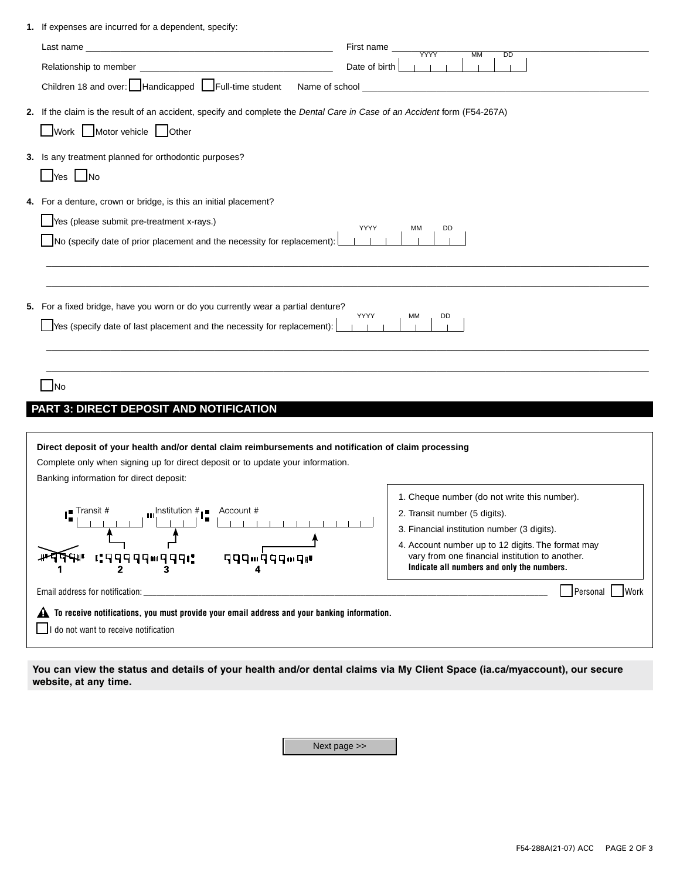| 1. If expenses are incurred for a dependent, specify:                                                                     |                                              |
|---------------------------------------------------------------------------------------------------------------------------|----------------------------------------------|
| First name _                                                                                                              | <b>YYYY</b><br><b>MM</b><br>$\overline{DD}$  |
| Date of birth                                                                                                             |                                              |
|                                                                                                                           |                                              |
| 2. If the claim is the result of an accident, specify and complete the Dental Care in Case of an Accident form (F54-267A) |                                              |
| Work Motor vehicle Other                                                                                                  |                                              |
| 3. Is any treatment planned for orthodontic purposes?                                                                     |                                              |
| $\sqrt{\ }$ Yes $\Box$ No                                                                                                 |                                              |
|                                                                                                                           |                                              |
| 4. For a denture, crown or bridge, is this an initial placement?                                                          |                                              |
| Yes (please submit pre-treatment x-rays.)<br>YYYY                                                                         | MM<br>DD                                     |
| No (specify date of prior placement and the necessity for replacement):                                                   |                                              |
|                                                                                                                           |                                              |
|                                                                                                                           |                                              |
| 5. For a fixed bridge, have you worn or do you currently wear a partial denture?                                          |                                              |
| YYYY                                                                                                                      | ΜМ<br>DD                                     |
| $\sqrt{\ }$ Yes (specify date of last placement and the necessity for replacement):                                       |                                              |
|                                                                                                                           |                                              |
|                                                                                                                           |                                              |
| <b>INo</b>                                                                                                                |                                              |
| PART 3: DIRECT DEPOSIT AND NOTIFICATION                                                                                   |                                              |
|                                                                                                                           |                                              |
| Direct deposit of your health and/or dental claim reimbursements and notification of claim processing                     |                                              |
| Complete only when signing up for direct deposit or to update your information.                                           |                                              |
| Banking information for direct deposit:                                                                                   |                                              |
|                                                                                                                           | 1. Cheque number (do not write this number). |
| <b>III</b> Institution $\#$ <b>I</b> Account #<br>∎ Transit #                                                             | 2. Transit number (5 digits).                |
|                                                                                                                           | 3. Financial institution number (3 digits).  |

| 4. Account number up to 12 digits. The format may |
|---------------------------------------------------|
| vary from one financial institution to another.   |
| Indicate all numbers and only the numbers.        |

Personal Work

 $\blacktriangle$  To receive notifications, you must provide your email address and your banking information.

**qqq**m∮qqmq⊮  $\overline{\mathbf{A}}$ 

 $\Box$  I do not want to receive notification

Email address for notification:

You can view the status and details of your health and/or dental claims via My Client Space (ia.ca/myaccount), our secure website, at any time.

Next page >>